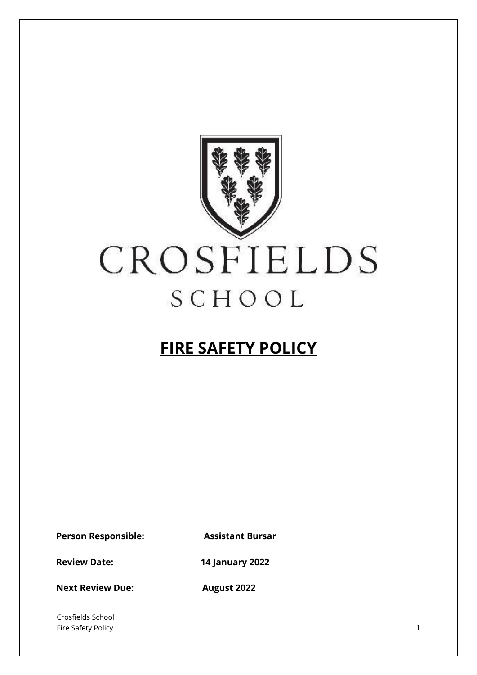

# **FIRE SAFETY POLICY**

**Person Responsible: Assistant Bursar**

**Review Date: 14 January 2022**

**Next Review Due:** August 2022

Crosfields School Fire Safety Policy 1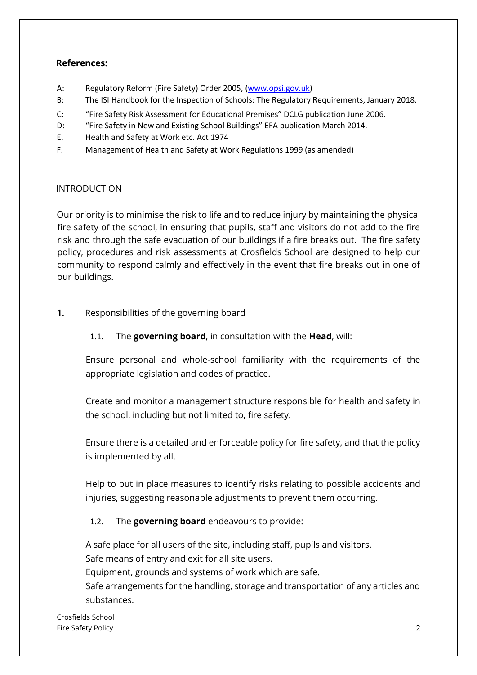#### **References:**

- A: Regulatory Reform (Fire Safety) Order 2005, [\(www.opsi.gov.uk\)](http://www.opsi.gov.uk/)
- B: The ISI Handbook for the Inspection of Schools: The Regulatory Requirements, January 2018.
- C: "Fire Safety Risk Assessment for Educational Premises" DCLG publication June 2006.
- D: "Fire Safety in New and Existing School Buildings" EFA publication March 2014.
- E. Health and Safety at Work etc. Act 1974
- F. Management of Health and Safety at Work Regulations 1999 (as amended)

#### INTRODUCTION

Our priority is to minimise the risk to life and to reduce injury by maintaining the physical fire safety of the school, in ensuring that pupils, staff and visitors do not add to the fire risk and through the safe evacuation of our buildings if a fire breaks out. The fire safety policy, procedures and risk assessments at Crosfields School are designed to help our community to respond calmly and effectively in the event that fire breaks out in one of our buildings.

#### **1.** Responsibilities of the governing board

1.1. The **governing board**, in consultation with the **Head**, will:

Ensure personal and whole-school familiarity with the requirements of the appropriate legislation and codes of practice.

Create and monitor a management structure responsible for health and safety in the school, including but not limited to, fire safety.

Ensure there is a detailed and enforceable policy for fire safety, and that the policy is implemented by all.

Help to put in place measures to identify risks relating to possible accidents and injuries, suggesting reasonable adjustments to prevent them occurring.

#### 1.2. The **governing board** endeavours to provide:

A safe place for all users of the site, including staff, pupils and visitors. Safe means of entry and exit for all site users. Equipment, grounds and systems of work which are safe. Safe arrangements for the handling, storage and transportation of any articles and substances.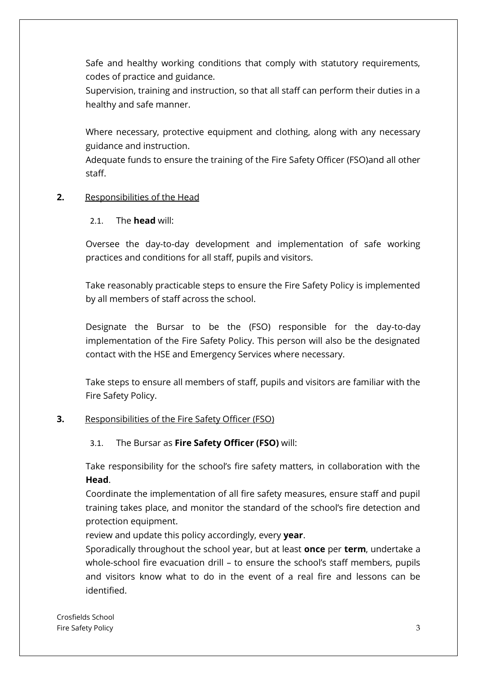Safe and healthy working conditions that comply with statutory requirements, codes of practice and guidance.

Supervision, training and instruction, so that all staff can perform their duties in a healthy and safe manner.

Where necessary, protective equipment and clothing, along with any necessary guidance and instruction.

Adequate funds to ensure the training of the Fire Safety Officer (FSO)and all other staff.

#### **2.** Responsibilities of the Head

#### 2.1. The **head** will:

Oversee the day-to-day development and implementation of safe working practices and conditions for all staff, pupils and visitors.

Take reasonably practicable steps to ensure the Fire Safety Policy is implemented by all members of staff across the school.

Designate the Bursar to be the (FSO) responsible for the day-to-day implementation of the Fire Safety Policy. This person will also be the designated contact with the HSE and Emergency Services where necessary.

Take steps to ensure all members of staff, pupils and visitors are familiar with the Fire Safety Policy.

## **3.** Responsibilities of the Fire Safety Officer (FSO)

#### 3.1. The Bursar as **Fire Safety Officer (FSO)** will:

Take responsibility for the school's fire safety matters, in collaboration with the **Head**.

Coordinate the implementation of all fire safety measures, ensure staff and pupil training takes place, and monitor the standard of the school's fire detection and protection equipment.

review and update this policy accordingly, every **year**.

Sporadically throughout the school year, but at least **once** per **term**, undertake a whole-school fire evacuation drill – to ensure the school's staff members, pupils and visitors know what to do in the event of a real fire and lessons can be identified.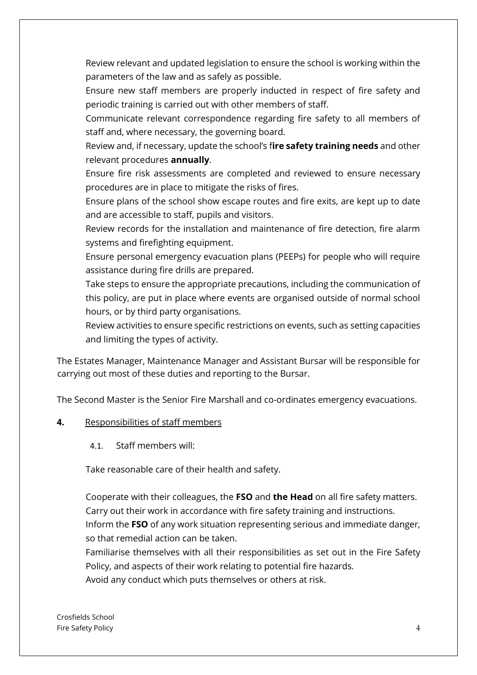Review relevant and updated legislation to ensure the school is working within the parameters of the law and as safely as possible.

Ensure new staff members are properly inducted in respect of fire safety and periodic training is carried out with other members of staff.

Communicate relevant correspondence regarding fire safety to all members of staff and, where necessary, the governing board.

Review and, if necessary, update the school's f**ire safety training needs** and other relevant procedures **annually**.

Ensure fire risk assessments are completed and reviewed to ensure necessary procedures are in place to mitigate the risks of fires.

Ensure plans of the school show escape routes and fire exits, are kept up to date and are accessible to staff, pupils and visitors.

Review records for the installation and maintenance of fire detection, fire alarm systems and firefighting equipment.

Ensure personal emergency evacuation plans (PEEPs) for people who will require assistance during fire drills are prepared.

Take steps to ensure the appropriate precautions, including the communication of this policy, are put in place where events are organised outside of normal school hours, or by third party organisations.

Review activities to ensure specific restrictions on events, such as setting capacities and limiting the types of activity.

The Estates Manager, Maintenance Manager and Assistant Bursar will be responsible for carrying out most of these duties and reporting to the Bursar.

The Second Master is the Senior Fire Marshall and co-ordinates emergency evacuations.

## **4.** Responsibilities of staff members

4.1. Staff members will:

Take reasonable care of their health and safety.

Cooperate with their colleagues, the **FSO** and **the Head** on all fire safety matters. Carry out their work in accordance with fire safety training and instructions. Inform the **FSO** of any work situation representing serious and immediate danger, so that remedial action can be taken.

Familiarise themselves with all their responsibilities as set out in the Fire Safety Policy, and aspects of their work relating to potential fire hazards.

Avoid any conduct which puts themselves or others at risk.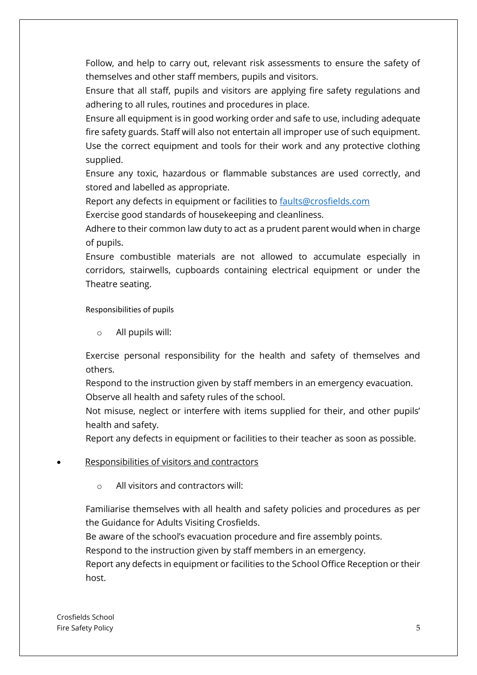Follow, and help to carry out, relevant risk assessments to ensure the safety of themselves and other staff members, pupils and visitors.

Ensure that all staff, pupils and visitors are applying fire safety regulations and adhering to all rules, routines and procedures in place.

Ensure all equipment is in good working order and safe to use, including adequate fire safety guards. Staff will also not entertain all improper use of such equipment. Use the correct equipment and tools for their work and any protective clothing supplied.

Ensure any toxic, hazardous or flammable substances are used correctly, and stored and labelled as appropriate.

Report any defects in equipment or facilities to **faults@crosfields.com** 

Exercise good standards of housekeeping and cleanliness.

Adhere to their common law duty to act as a prudent parent would when in charge of pupils.

Ensure combustible materials are not allowed to accumulate especially in corridors, stairwells, cupboards containing electrical equipment or under the Theatre seating.

Responsibilities of pupils

o All pupils will:

Exercise personal responsibility for the health and safety of themselves and others.

Respond to the instruction given by staff members in an emergency evacuation. Observe all health and safety rules of the school.

Not misuse, neglect or interfere with items supplied for their, and other pupils' health and safety.

Report any defects in equipment or facilities to their teacher as soon as possible.

- Responsibilities of visitors and contractors
	- All visitors and contractors will:

Familiarise themselves with all health and safety policies and procedures as per the Guidance for Adults Visiting Crosfields.

Be aware of the school's evacuation procedure and fire assembly points.

Respond to the instruction given by staff members in an emergency.

Report any defects in equipment or facilities to the School Office Reception or their host.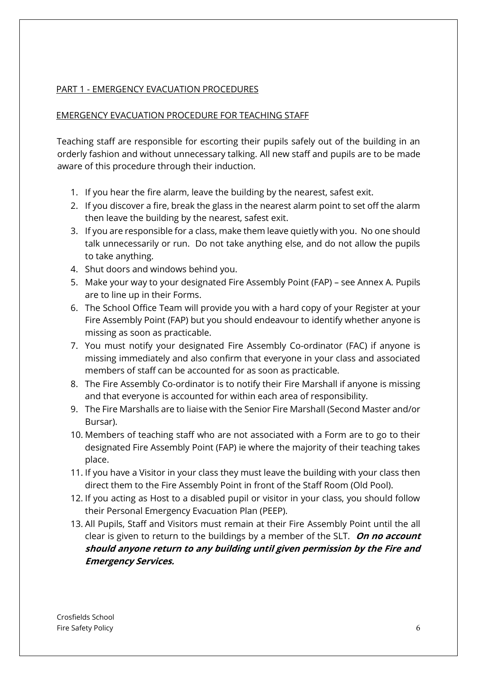## PART 1 - EMERGENCY EVACUATION PROCEDURES

#### EMERGENCY EVACUATION PROCEDURE FOR TEACHING STAFF

Teaching staff are responsible for escorting their pupils safely out of the building in an orderly fashion and without unnecessary talking. All new staff and pupils are to be made aware of this procedure through their induction.

- 1. If you hear the fire alarm, leave the building by the nearest, safest exit.
- 2. If you discover a fire, break the glass in the nearest alarm point to set off the alarm then leave the building by the nearest, safest exit.
- 3. If you are responsible for a class, make them leave quietly with you. No one should talk unnecessarily or run. Do not take anything else, and do not allow the pupils to take anything.
- 4. Shut doors and windows behind you.
- 5. Make your way to your designated Fire Assembly Point (FAP) see Annex A. Pupils are to line up in their Forms.
- 6. The School Office Team will provide you with a hard copy of your Register at your Fire Assembly Point (FAP) but you should endeavour to identify whether anyone is missing as soon as practicable.
- 7. You must notify your designated Fire Assembly Co-ordinator (FAC) if anyone is missing immediately and also confirm that everyone in your class and associated members of staff can be accounted for as soon as practicable.
- 8. The Fire Assembly Co-ordinator is to notify their Fire Marshall if anyone is missing and that everyone is accounted for within each area of responsibility.
- 9. The Fire Marshalls are to liaise with the Senior Fire Marshall (Second Master and/or Bursar).
- 10. Members of teaching staff who are not associated with a Form are to go to their designated Fire Assembly Point (FAP) ie where the majority of their teaching takes place.
- 11. If you have a Visitor in your class they must leave the building with your class then direct them to the Fire Assembly Point in front of the Staff Room (Old Pool).
- 12. If you acting as Host to a disabled pupil or visitor in your class, you should follow their Personal Emergency Evacuation Plan (PEEP).
- 13. All Pupils, Staff and Visitors must remain at their Fire Assembly Point until the all clear is given to return to the buildings by a member of the SLT. **On no account should anyone return to any building until given permission by the Fire and Emergency Services.**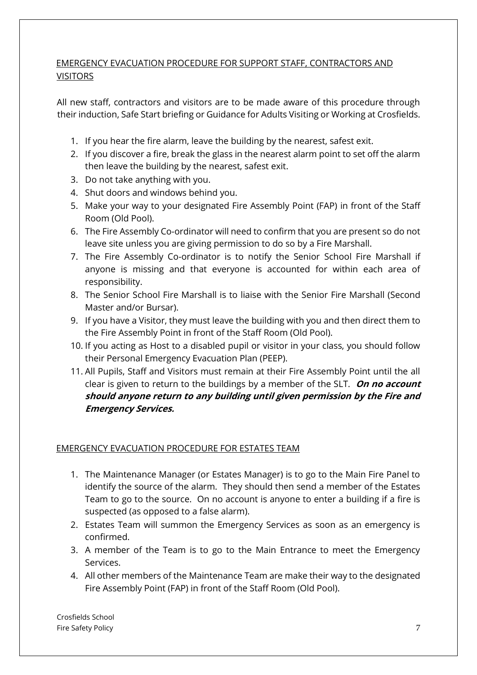# EMERGENCY EVACUATION PROCEDURE FOR SUPPORT STAFF, CONTRACTORS AND **VISITORS**

All new staff, contractors and visitors are to be made aware of this procedure through their induction, Safe Start briefing or Guidance for Adults Visiting or Working at Crosfields.

- 1. If you hear the fire alarm, leave the building by the nearest, safest exit.
- 2. If you discover a fire, break the glass in the nearest alarm point to set off the alarm then leave the building by the nearest, safest exit.
- 3. Do not take anything with you.
- 4. Shut doors and windows behind you.
- 5. Make your way to your designated Fire Assembly Point (FAP) in front of the Staff Room (Old Pool).
- 6. The Fire Assembly Co-ordinator will need to confirm that you are present so do not leave site unless you are giving permission to do so by a Fire Marshall.
- 7. The Fire Assembly Co-ordinator is to notify the Senior School Fire Marshall if anyone is missing and that everyone is accounted for within each area of responsibility.
- 8. The Senior School Fire Marshall is to liaise with the Senior Fire Marshall (Second Master and/or Bursar).
- 9. If you have a Visitor, they must leave the building with you and then direct them to the Fire Assembly Point in front of the Staff Room (Old Pool).
- 10. If you acting as Host to a disabled pupil or visitor in your class, you should follow their Personal Emergency Evacuation Plan (PEEP).
- 11. All Pupils, Staff and Visitors must remain at their Fire Assembly Point until the all clear is given to return to the buildings by a member of the SLT. **On no account should anyone return to any building until given permission by the Fire and Emergency Services.**

## EMERGENCY EVACUATION PROCEDURE FOR ESTATES TEAM

- 1. The Maintenance Manager (or Estates Manager) is to go to the Main Fire Panel to identify the source of the alarm. They should then send a member of the Estates Team to go to the source. On no account is anyone to enter a building if a fire is suspected (as opposed to a false alarm).
- 2. Estates Team will summon the Emergency Services as soon as an emergency is confirmed.
- 3. A member of the Team is to go to the Main Entrance to meet the Emergency Services.
- 4. All other members of the Maintenance Team are make their way to the designated Fire Assembly Point (FAP) in front of the Staff Room (Old Pool).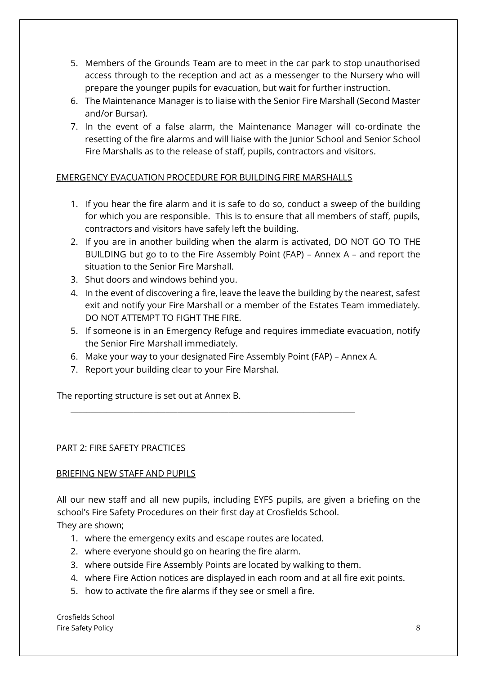- 5. Members of the Grounds Team are to meet in the car park to stop unauthorised access through to the reception and act as a messenger to the Nursery who will prepare the younger pupils for evacuation, but wait for further instruction.
- 6. The Maintenance Manager is to liaise with the Senior Fire Marshall (Second Master and/or Bursar).
- 7. In the event of a false alarm, the Maintenance Manager will co-ordinate the resetting of the fire alarms and will liaise with the Junior School and Senior School Fire Marshalls as to the release of staff, pupils, contractors and visitors.

# EMERGENCY EVACUATION PROCEDURE FOR BUILDING FIRE MARSHALLS

- 1. If you hear the fire alarm and it is safe to do so, conduct a sweep of the building for which you are responsible. This is to ensure that all members of staff, pupils, contractors and visitors have safely left the building.
- 2. If you are in another building when the alarm is activated, DO NOT GO TO THE BUILDING but go to to the Fire Assembly Point (FAP) – Annex A – and report the situation to the Senior Fire Marshall.
- 3. Shut doors and windows behind you.
- 4. In the event of discovering a fire, leave the leave the building by the nearest, safest exit and notify your Fire Marshall or a member of the Estates Team immediately. DO NOT ATTEMPT TO FIGHT THE FIRE.
- 5. If someone is in an Emergency Refuge and requires immediate evacuation, notify the Senior Fire Marshall immediately.
- 6. Make your way to your designated Fire Assembly Point (FAP) Annex A.

\_\_\_\_\_\_\_\_\_\_\_\_\_\_\_\_\_\_\_\_\_\_\_\_\_\_\_\_\_\_\_\_\_\_\_\_\_\_\_\_\_\_\_\_\_\_\_\_\_\_\_\_\_\_\_\_\_\_\_\_\_\_\_\_\_\_\_\_\_\_\_\_

7. Report your building clear to your Fire Marshal.

The reporting structure is set out at Annex B.

## PART 2: FIRE SAFETY PRACTICES

## BRIEFING NEW STAFF AND PUPILS

All our new staff and all new pupils, including EYFS pupils, are given a briefing on the school's Fire Safety Procedures on their first day at Crosfields School.

They are shown;

- 1. where the emergency exits and escape routes are located.
- 2. where everyone should go on hearing the fire alarm.
- 3. where outside Fire Assembly Points are located by walking to them.
- 4. where Fire Action notices are displayed in each room and at all fire exit points.
- 5. how to activate the fire alarms if they see or smell a fire.

Crosfields School Fire Safety Policy 8 and 2008 and 2008 and 2008 and 2008 and 2008 and 2008 and 2008 and 2008 and 2008 and 2008  $\beta$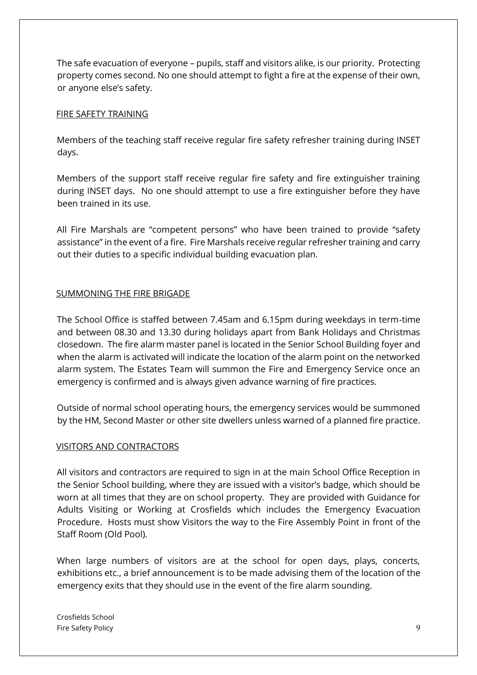The safe evacuation of everyone – pupils, staff and visitors alike, is our priority. Protecting property comes second. No one should attempt to fight a fire at the expense of their own, or anyone else's safety.

#### FIRE SAFETY TRAINING

Members of the teaching staff receive regular fire safety refresher training during INSET days.

Members of the support staff receive regular fire safety and fire extinguisher training during INSET days. No one should attempt to use a fire extinguisher before they have been trained in its use.

All Fire Marshals are "competent persons" who have been trained to provide "safety assistance" in the event of a fire. Fire Marshals receive regular refresher training and carry out their duties to a specific individual building evacuation plan.

## SUMMONING THE FIRE BRIGADE

The School Office is staffed between 7.45am and 6.15pm during weekdays in term-time and between 08.30 and 13.30 during holidays apart from Bank Holidays and Christmas closedown. The fire alarm master panel is located in the Senior School Building foyer and when the alarm is activated will indicate the location of the alarm point on the networked alarm system. The Estates Team will summon the Fire and Emergency Service once an emergency is confirmed and is always given advance warning of fire practices.

Outside of normal school operating hours, the emergency services would be summoned by the HM, Second Master or other site dwellers unless warned of a planned fire practice.

## VISITORS AND CONTRACTORS

All visitors and contractors are required to sign in at the main School Office Reception in the Senior School building, where they are issued with a visitor's badge, which should be worn at all times that they are on school property. They are provided with Guidance for Adults Visiting or Working at Crosfields which includes the Emergency Evacuation Procedure. Hosts must show Visitors the way to the Fire Assembly Point in front of the Staff Room (Old Pool).

When large numbers of visitors are at the school for open days, plays, concerts, exhibitions etc., a brief announcement is to be made advising them of the location of the emergency exits that they should use in the event of the fire alarm sounding.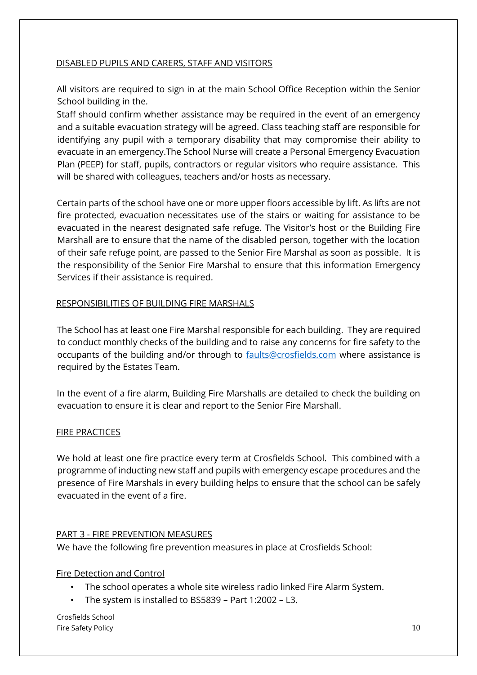#### DISABLED PUPILS AND CARERS, STAFF AND VISITORS

All visitors are required to sign in at the main School Office Reception within the Senior School building in the.

Staff should confirm whether assistance may be required in the event of an emergency and a suitable evacuation strategy will be agreed. Class teaching staff are responsible for identifying any pupil with a temporary disability that may compromise their ability to evacuate in an emergency.The School Nurse will create a Personal Emergency Evacuation Plan (PEEP) for staff, pupils, contractors or regular visitors who require assistance. This will be shared with colleagues, teachers and/or hosts as necessary.

Certain parts of the school have one or more upper floors accessible by lift. As lifts are not fire protected, evacuation necessitates use of the stairs or waiting for assistance to be evacuated in the nearest designated safe refuge. The Visitor's host or the Building Fire Marshall are to ensure that the name of the disabled person, together with the location of their safe refuge point, are passed to the Senior Fire Marshal as soon as possible. It is the responsibility of the Senior Fire Marshal to ensure that this information Emergency Services if their assistance is required.

#### RESPONSIBILITIES OF BUILDING FIRE MARSHALS

The School has at least one Fire Marshal responsible for each building. They are required to conduct monthly checks of the building and to raise any concerns for fire safety to the occupants of the building and/or through to **faults@crosfields.com** where assistance is required by the Estates Team.

In the event of a fire alarm, Building Fire Marshalls are detailed to check the building on evacuation to ensure it is clear and report to the Senior Fire Marshall.

#### FIRE PRACTICES

We hold at least one fire practice every term at Crosfields School. This combined with a programme of inducting new staff and pupils with emergency escape procedures and the presence of Fire Marshals in every building helps to ensure that the school can be safely evacuated in the event of a fire.

## PART 3 - FIRE PREVENTION MEASURES

We have the following fire prevention measures in place at Crosfields School:

## Fire Detection and Control

- The school operates a whole site wireless radio linked Fire Alarm System.
- The system is installed to BS5839 Part 1:2002 L3.

Crosfields School Fire Safety Policy 2008 and the Safety Policy 2008 and the Safety Policy 2008 and the Safety Policy 2008 and the Safety Policy 2008 and the Safety Policy 2008 and the Safety 2008 and the Safety 2008 and the Safety 2008 and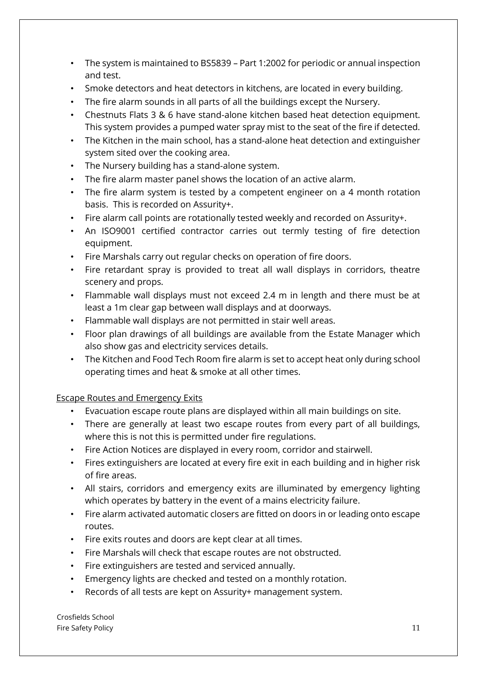- The system is maintained to BS5839 Part 1:2002 for periodic or annual inspection and test.
- Smoke detectors and heat detectors in kitchens, are located in every building.
- The fire alarm sounds in all parts of all the buildings except the Nursery.
- Chestnuts Flats 3 & 6 have stand-alone kitchen based heat detection equipment. This system provides a pumped water spray mist to the seat of the fire if detected.
- The Kitchen in the main school, has a stand-alone heat detection and extinguisher system sited over the cooking area.
- The Nursery building has a stand-alone system.
- The fire alarm master panel shows the location of an active alarm.
- The fire alarm system is tested by a competent engineer on a 4 month rotation basis. This is recorded on Assurity+.
- Fire alarm call points are rotationally tested weekly and recorded on Assurity+.
- An ISO9001 certified contractor carries out termly testing of fire detection equipment.
- Fire Marshals carry out regular checks on operation of fire doors.
- Fire retardant spray is provided to treat all wall displays in corridors, theatre scenery and props.
- Flammable wall displays must not exceed 2.4 m in length and there must be at least a 1m clear gap between wall displays and at doorways.
- Flammable wall displays are not permitted in stair well areas.
- Floor plan drawings of all buildings are available from the Estate Manager which also show gas and electricity services details.
- The Kitchen and Food Tech Room fire alarm is set to accept heat only during school operating times and heat & smoke at all other times.

## Escape Routes and Emergency Exits

- Evacuation escape route plans are displayed within all main buildings on site.
- There are generally at least two escape routes from every part of all buildings, where this is not this is permitted under fire regulations.
- Fire Action Notices are displayed in every room, corridor and stairwell.
- Fires extinguishers are located at every fire exit in each building and in higher risk of fire areas.
- All stairs, corridors and emergency exits are illuminated by emergency lighting which operates by battery in the event of a mains electricity failure.
- Fire alarm activated automatic closers are fitted on doors in or leading onto escape routes.
- Fire exits routes and doors are kept clear at all times.
- Fire Marshals will check that escape routes are not obstructed.
- Fire extinguishers are tested and serviced annually.
- Emergency lights are checked and tested on a monthly rotation.
- Records of all tests are kept on Assurity+ management system.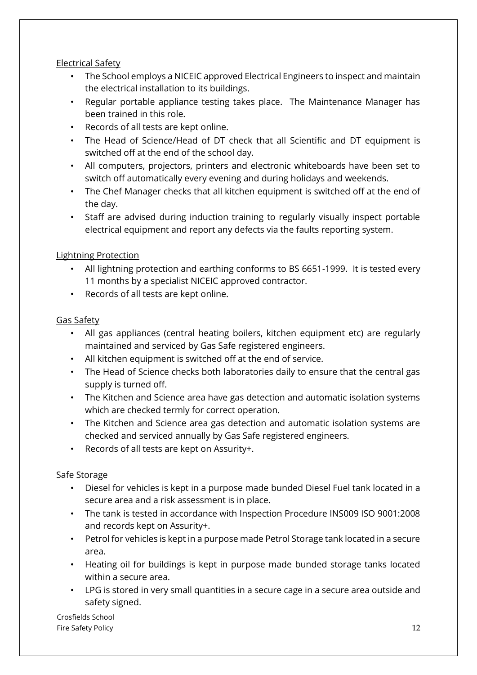# Electrical Safety

- The School employs a NICEIC approved Electrical Engineers to inspect and maintain the electrical installation to its buildings.
- Regular portable appliance testing takes place. The Maintenance Manager has been trained in this role.
- Records of all tests are kept online.
- The Head of Science/Head of DT check that all Scientific and DT equipment is switched off at the end of the school day.
- All computers, projectors, printers and electronic whiteboards have been set to switch off automatically every evening and during holidays and weekends.
- The Chef Manager checks that all kitchen equipment is switched off at the end of the day.
- Staff are advised during induction training to regularly visually inspect portable electrical equipment and report any defects via the faults reporting system.

# Lightning Protection

- All lightning protection and earthing conforms to BS 6651-1999. It is tested every 11 months by a specialist NICEIC approved contractor.
- Records of all tests are kept online.

# Gas Safety

- All gas appliances (central heating boilers, kitchen equipment etc) are regularly maintained and serviced by Gas Safe registered engineers.
- All kitchen equipment is switched off at the end of service.
- The Head of Science checks both laboratories daily to ensure that the central gas supply is turned off.
- The Kitchen and Science area have gas detection and automatic isolation systems which are checked termly for correct operation.
- The Kitchen and Science area gas detection and automatic isolation systems are checked and serviced annually by Gas Safe registered engineers.
- Records of all tests are kept on Assurity+.

# Safe Storage

- Diesel for vehicles is kept in a purpose made bunded Diesel Fuel tank located in a secure area and a risk assessment is in place.
- The tank is tested in accordance with Inspection Procedure INS009 ISO 9001:2008 and records kept on Assurity+.
- Petrol for vehicles is kept in a purpose made Petrol Storage tank located in a secure area.
- Heating oil for buildings is kept in purpose made bunded storage tanks located within a secure area.
- LPG is stored in very small quantities in a secure cage in a secure area outside and safety signed.

Crosfields School Fire Safety Policy 22 and 22 and 22 and 22 and 23 and 23 and 23 and 24 and 25 and 26 and 26 and 26 and 27 and 27 and 27 and 27 and 27 and 27 and 27 and 27 and 27 and 27 and 27 and 27 and 27 and 27 and 27 and 27 and 27 and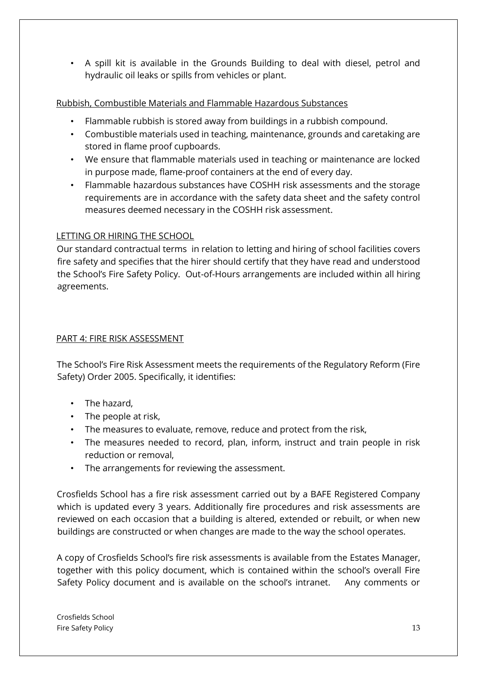• A spill kit is available in the Grounds Building to deal with diesel, petrol and hydraulic oil leaks or spills from vehicles or plant.

# Rubbish, Combustible Materials and Flammable Hazardous Substances

- Flammable rubbish is stored away from buildings in a rubbish compound.
- Combustible materials used in teaching, maintenance, grounds and caretaking are stored in flame proof cupboards.
- We ensure that flammable materials used in teaching or maintenance are locked in purpose made, flame-proof containers at the end of every day.
- Flammable hazardous substances have COSHH risk assessments and the storage requirements are in accordance with the safety data sheet and the safety control measures deemed necessary in the COSHH risk assessment.

# LETTING OR HIRING THE SCHOOL

Our standard contractual terms in relation to letting and hiring of school facilities covers fire safety and specifies that the hirer should certify that they have read and understood the School's Fire Safety Policy. Out-of-Hours arrangements are included within all hiring agreements.

# PART 4: FIRE RISK ASSESSMENT

The School's Fire Risk Assessment meets the requirements of the Regulatory Reform (Fire Safety) Order 2005. Specifically, it identifies:

- The hazard,
- The people at risk,
- The measures to evaluate, remove, reduce and protect from the risk,
- The measures needed to record, plan, inform, instruct and train people in risk reduction or removal,
- The arrangements for reviewing the assessment.

Crosfields School has a fire risk assessment carried out by a BAFE Registered Company which is updated every 3 years. Additionally fire procedures and risk assessments are reviewed on each occasion that a building is altered, extended or rebuilt, or when new buildings are constructed or when changes are made to the way the school operates.

A copy of Crosfields School's fire risk assessments is available from the Estates Manager, together with this policy document, which is contained within the school's overall Fire Safety Policy document and is available on the school's intranet. Any comments or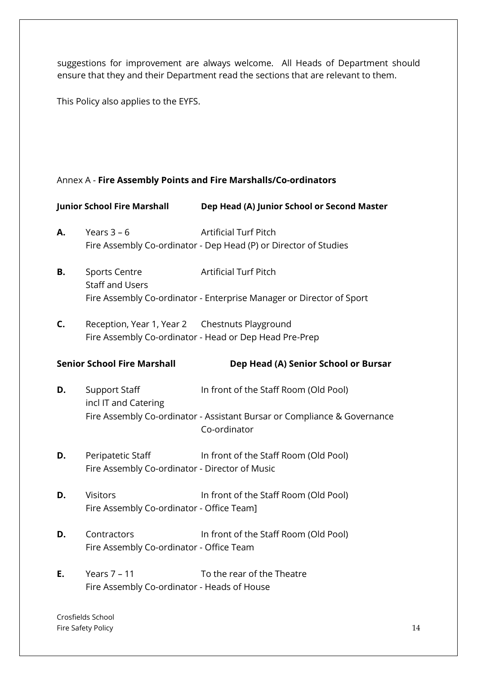suggestions for improvement are always welcome. All Heads of Department should ensure that they and their Department read the sections that are relevant to them.

This Policy also applies to the EYFS.

## Annex A - **Fire Assembly Points and Fire Marshalls/Co-ordinators**

|    | <b>Junior School Fire Marshall</b>                                  | Dep Head (A) Junior School or Second Master                                                                                       |
|----|---------------------------------------------------------------------|-----------------------------------------------------------------------------------------------------------------------------------|
| Α. | Years $3 - 6$                                                       | <b>Artificial Turf Pitch</b><br>Fire Assembly Co-ordinator - Dep Head (P) or Director of Studies                                  |
| В. | <b>Sports Centre</b><br><b>Staff and Users</b>                      | <b>Artificial Turf Pitch</b><br>Fire Assembly Co-ordinator - Enterprise Manager or Director of Sport                              |
| C. | Reception, Year 1, Year 2 Chestnuts Playground                      | Fire Assembly Co-ordinator - Head or Dep Head Pre-Prep                                                                            |
|    | <b>Senior School Fire Marshall</b>                                  | Dep Head (A) Senior School or Bursar                                                                                              |
| D. | <b>Support Staff</b><br>incl IT and Catering                        | In front of the Staff Room (Old Pool)<br>Fire Assembly Co-ordinator - Assistant Bursar or Compliance & Governance<br>Co-ordinator |
| D. | Peripatetic Staff<br>Fire Assembly Co-ordinator - Director of Music | In front of the Staff Room (Old Pool)                                                                                             |
| D. | <b>Visitors</b><br>Fire Assembly Co-ordinator - Office Team]        | In front of the Staff Room (Old Pool)                                                                                             |
| D. | Contractors<br>Fire Assembly Co-ordinator - Office Team             | In front of the Staff Room (Old Pool)                                                                                             |
| Ε. | Years $7 - 11$<br>Fire Assembly Co-ordinator - Heads of House       | To the rear of the Theatre                                                                                                        |
|    |                                                                     |                                                                                                                                   |

Crosfields School Fire Safety Policy 14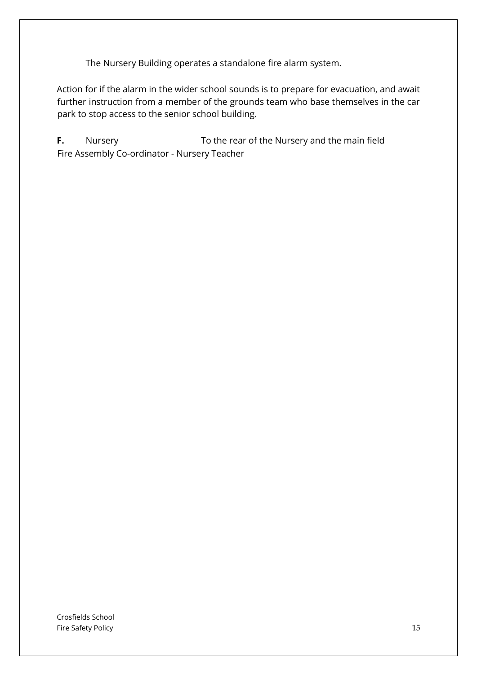The Nursery Building operates a standalone fire alarm system.

Action for if the alarm in the wider school sounds is to prepare for evacuation, and await further instruction from a member of the grounds team who base themselves in the car park to stop access to the senior school building.

**F.** Nursery To the rear of the Nursery and the main field Fire Assembly Co-ordinator - Nursery Teacher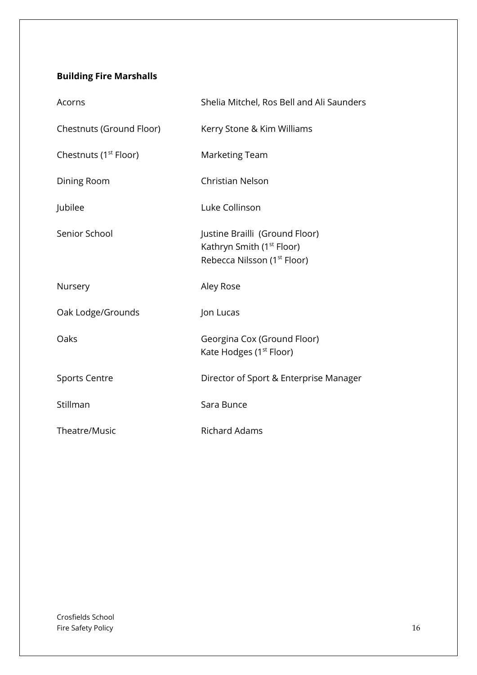# **Building Fire Marshalls**

| Acorns                            | Shelia Mitchel, Ros Bell and Ali Saunders                                                                          |
|-----------------------------------|--------------------------------------------------------------------------------------------------------------------|
| Chestnuts (Ground Floor)          | Kerry Stone & Kim Williams                                                                                         |
| Chestnuts (1 <sup>st</sup> Floor) | <b>Marketing Team</b>                                                                                              |
| Dining Room                       | <b>Christian Nelson</b>                                                                                            |
| Jubilee                           | Luke Collinson                                                                                                     |
| Senior School                     | Justine Brailli (Ground Floor)<br>Kathryn Smith (1 <sup>st</sup> Floor)<br>Rebecca Nilsson (1 <sup>st</sup> Floor) |
| Nursery                           | Aley Rose                                                                                                          |
| Oak Lodge/Grounds                 | Jon Lucas                                                                                                          |
| Oaks                              | Georgina Cox (Ground Floor)<br>Kate Hodges (1 <sup>st</sup> Floor)                                                 |
| <b>Sports Centre</b>              | Director of Sport & Enterprise Manager                                                                             |
| Stillman                          | Sara Bunce                                                                                                         |
| Theatre/Music                     | <b>Richard Adams</b>                                                                                               |